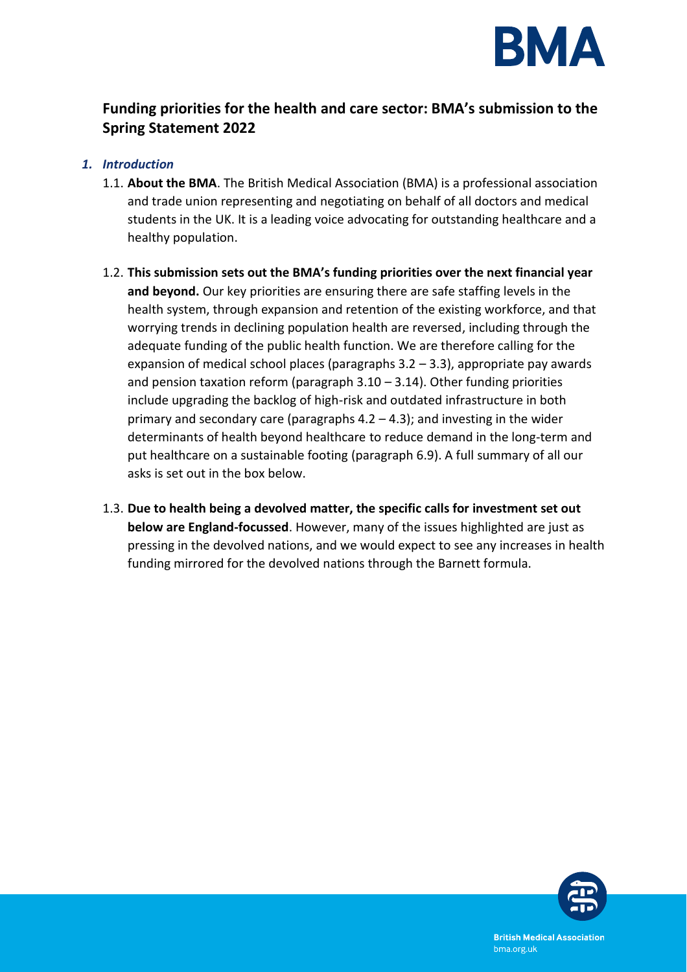

# **Funding priorities for the health and care sector: BMA's submission to the Spring Statement 2022**

### *1. Introduction*

- 1.1. **About the BMA**. The British Medical Association (BMA) is a professional association and trade union representing and negotiating on behalf of all doctors and medical students in the UK. It is a leading voice advocating for outstanding healthcare and a healthy population.
- 1.2. **This submission sets out the BMA's funding priorities over the next financial year and beyond.** Our key priorities are ensuring there are safe staffing levels in the health system, through expansion and retention of the existing workforce, and that worrying trends in declining population health are reversed, including through the adequate funding of the public health function. We are therefore calling for the expansion of medical school places (paragraphs  $3.2 - 3.3$ ), appropriate pay awards and pension taxation reform (paragraph  $3.10 - 3.14$ ). Other funding priorities include upgrading the backlog of high-risk and outdated infrastructure in both primary and secondary care (paragraphs  $4.2 - 4.3$ ); and investing in the wider determinants of health beyond healthcare to reduce demand in the long-term and put healthcare on a sustainable footing (paragraph 6.9). A full summary of all our asks is set out in the box below.
- 1.3. **Due to health being a devolved matter, the specific calls for investment set out below are England-focussed**. However, many of the issues highlighted are just as pressing in the devolved nations, and we would expect to see any increases in health funding mirrored for the devolved nations through the Barnett formula.

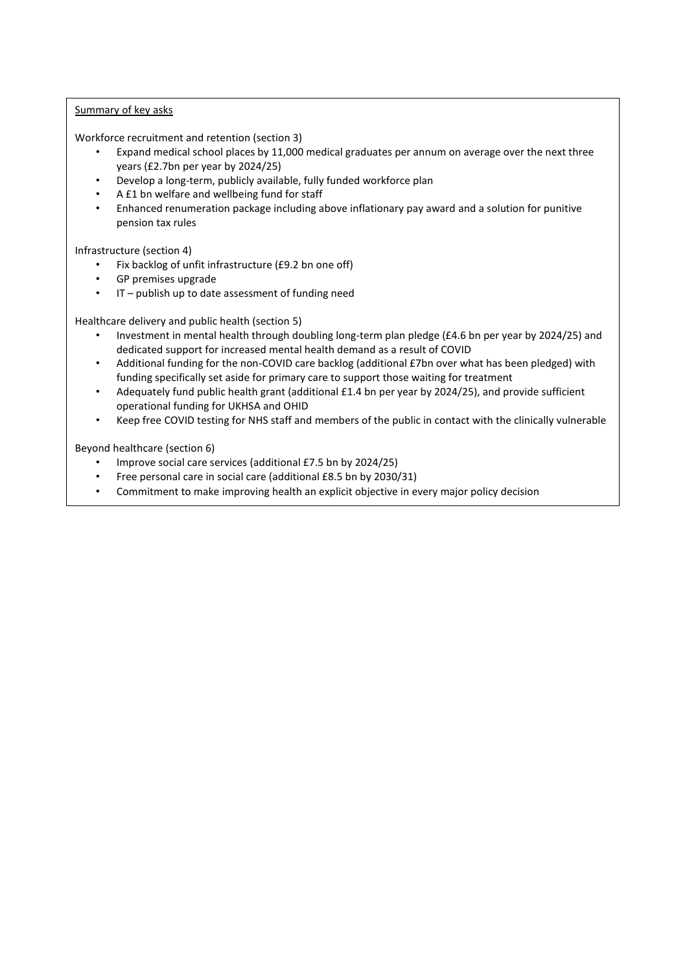#### Summary of key asks

Workforce recruitment and retention (section 3)

- Expand medical school places by 11,000 medical graduates per annum on average over the next three years (£2.7bn per year by 2024/25)
- Develop a long-term, publicly available, fully funded workforce plan
- A £1 bn welfare and wellbeing fund for staff
- Enhanced renumeration package including above inflationary pay award and a solution for punitive pension tax rules

Infrastructure (section 4)

- Fix backlog of unfit infrastructure (£9.2 bn one off)
- GP premises upgrade
- IT publish up to date assessment of funding need

Healthcare delivery and public health (section 5)

- Investment in mental health through doubling long-term plan pledge (£4.6 bn per year by 2024/25) and dedicated support for increased mental health demand as a result of COVID
- Additional funding for the non-COVID care backlog (additional £7bn over what has been pledged) with funding specifically set aside for primary care to support those waiting for treatment
- Adequately fund public health grant (additional £1.4 bn per year by 2024/25), and provide sufficient operational funding for UKHSA and OHID
- Keep free COVID testing for NHS staff and members of the public in contact with the clinically vulnerable

Beyond healthcare (section 6)

- Improve social care services (additional £7.5 bn by 2024/25)
- Free personal care in social care (additional £8.5 bn by 2030/31)
- Commitment to make improving health an explicit objective in every major policy decision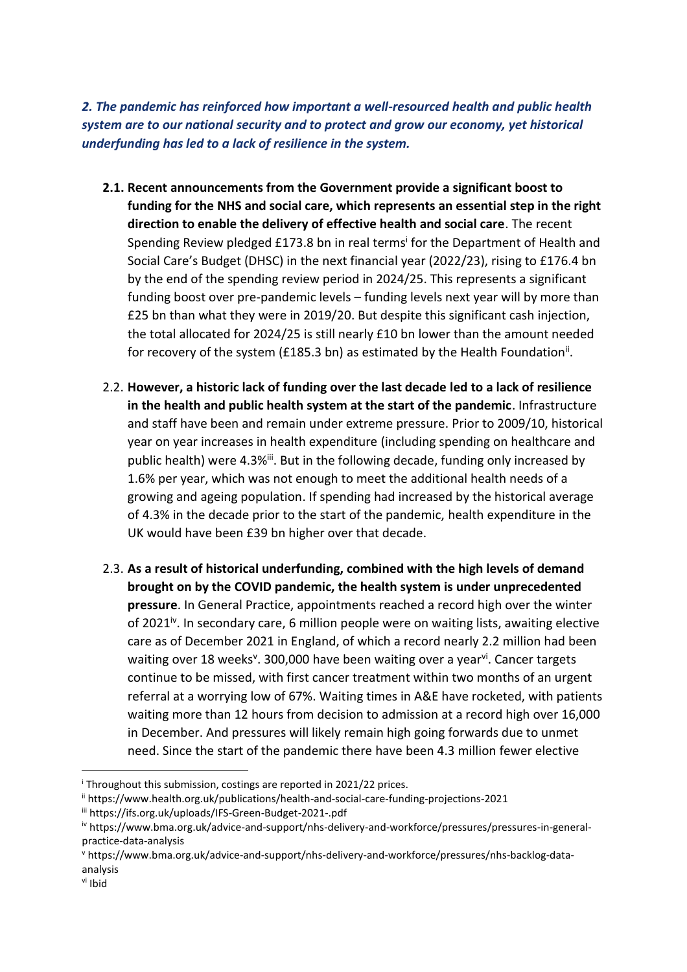*2. The pandemic has reinforced how important a well-resourced health and public health system are to our national security and to protect and grow our economy, yet historical underfunding has led to a lack of resilience in the system.*

- **2.1. Recent announcements from the Government provide a significant boost to funding for the NHS and social care, which represents an essential step in the right direction to enable the delivery of effective health and social care**. The recent Spending Review pledged £173.8 bn in real terms<sup>i</sup> for the Department of Health and Social Care's Budget (DHSC) in the next financial year (2022/23), rising to £176.4 bn by the end of the spending review period in 2024/25. This represents a significant funding boost over pre-pandemic levels – funding levels next year will by more than £25 bn than what they were in 2019/20. But despite this significant cash injection, the total allocated for 2024/25 is still nearly £10 bn lower than the amount needed for recovery of the system (£185.3 bn) as estimated by the Health Foundation<sup>ii</sup>.
- 2.2. **However, a historic lack of funding over the last decade led to a lack of resilience in the health and public health system at the start of the pandemic**. Infrastructure and staff have been and remain under extreme pressure. Prior to 2009/10, historical year on year increases in health expenditure (including spending on healthcare and public health) were 4.3%<sup>iii</sup>. But in the following decade, funding only increased by 1.6% per year, which was not enough to meet the additional health needs of a growing and ageing population. If spending had increased by the historical average of 4.3% in the decade prior to the start of the pandemic, health expenditure in the UK would have been £39 bn higher over that decade.
- 2.3. **As a result of historical underfunding, combined with the high levels of demand brought on by the COVID pandemic, the health system is under unprecedented pressure**. In General Practice, appointments reached a record high over the winter of 2021 $^{\rm b}$ . In secondary care, 6 million people were on waiting lists, awaiting elective care as of December 2021 in England, of which a record nearly 2.2 million had been waiting over 18 weeks<sup>v</sup>. 300,000 have been waiting over a year<sup>vi</sup>. Cancer targets continue to be missed, with first cancer treatment within two months of an urgent referral at a worrying low of 67%. Waiting times in A&E have rocketed, with patients waiting more than 12 hours from decision to admission at a record high over 16,000 in December. And pressures will likely remain high going forwards due to unmet need. Since the start of the pandemic there have been 4.3 million fewer elective

<sup>i</sup> Throughout this submission, costings are reported in 2021/22 prices.

ii https://www.health.org.uk/publications/health-and-social-care-funding-projections-2021

iii https://ifs.org.uk/uploads/IFS-Green-Budget-2021-.pdf

iv https://www.bma.org.uk/advice-and-support/nhs-delivery-and-workforce/pressures/pressures-in-generalpractice-data-analysis

<sup>v</sup> https://www.bma.org.uk/advice-and-support/nhs-delivery-and-workforce/pressures/nhs-backlog-dataanalysis

vi Ibid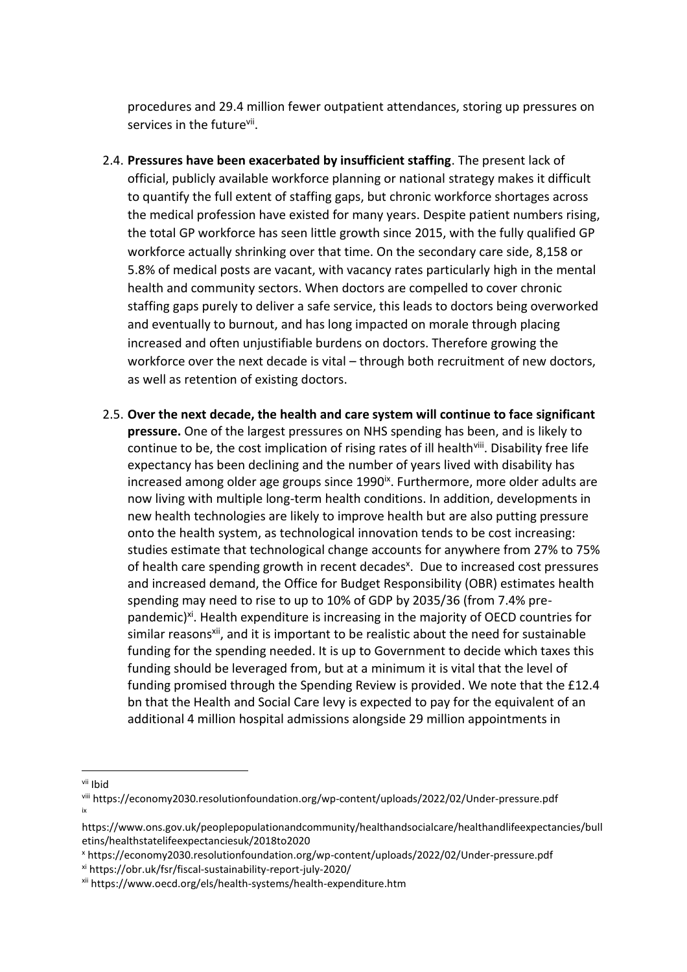procedures and 29.4 million fewer outpatient attendances, storing up pressures on services in the future<sup>vii</sup>.

- 2.4. **Pressures have been exacerbated by insufficient staffing**. The present lack of official, publicly available workforce planning or national strategy makes it difficult to quantify the full extent of staffing gaps, but chronic workforce shortages across the medical profession have existed for many years. Despite patient numbers rising, the total GP workforce has seen little growth since 2015, with the fully qualified GP workforce actually shrinking over that time. On the secondary care side, 8,158 or 5.8% of medical posts are vacant, with vacancy rates particularly high in the mental health and community sectors. When doctors are compelled to cover chronic staffing gaps purely to deliver a safe service, this leads to doctors being overworked and eventually to burnout, and has long impacted on morale through placing increased and often unjustifiable burdens on doctors. Therefore growing the workforce over the next decade is vital – through both recruitment of new doctors, as well as retention of existing doctors.
- 2.5. **Over the next decade, the health and care system will continue to face significant pressure.** One of the largest pressures on NHS spending has been, and is likely to continue to be, the cost implication of rising rates of ill health<sup>viii</sup>. Disability free life expectancy has been declining and the number of years lived with disability has increased among older age groups since  $1990^{\alpha}$ . Furthermore, more older adults are now living with multiple long-term health conditions. In addition, developments in new health technologies are likely to improve health but are also putting pressure onto the health system, as technological innovation tends to be cost increasing: studies estimate that technological change accounts for anywhere from 27% to 75% of health care spending growth in recent decades<sup>x</sup>. Due to increased cost pressures and increased demand, the Office for Budget Responsibility (OBR) estimates health spending may need to rise to up to 10% of GDP by 2035/36 (from 7.4% prepandemic)<sup>xi</sup>. Health expenditure is increasing in the majority of OECD countries for similar reasons<sup>xii</sup>, and it is important to be realistic about the need for sustainable funding for the spending needed. It is up to Government to decide which taxes this funding should be leveraged from, but at a minimum it is vital that the level of funding promised through the Spending Review is provided. We note that the £12.4 bn that the Health and Social Care levy is expected to pay for the equivalent of an additional 4 million hospital admissions alongside 29 million appointments in
- vii Ibid

viii https://economy2030.resolutionfoundation.org/wp-content/uploads/2022/02/Under-pressure.pdf ix

https://www.ons.gov.uk/peoplepopulationandcommunity/healthandsocialcare/healthandlifeexpectancies/bull etins/healthstatelifeexpectanciesuk/2018to2020

<sup>x</sup> https://economy2030.resolutionfoundation.org/wp-content/uploads/2022/02/Under-pressure.pdf

xi https://obr.uk/fsr/fiscal-sustainability-report-july-2020/

xii https://www.oecd.org/els/health-systems/health-expenditure.htm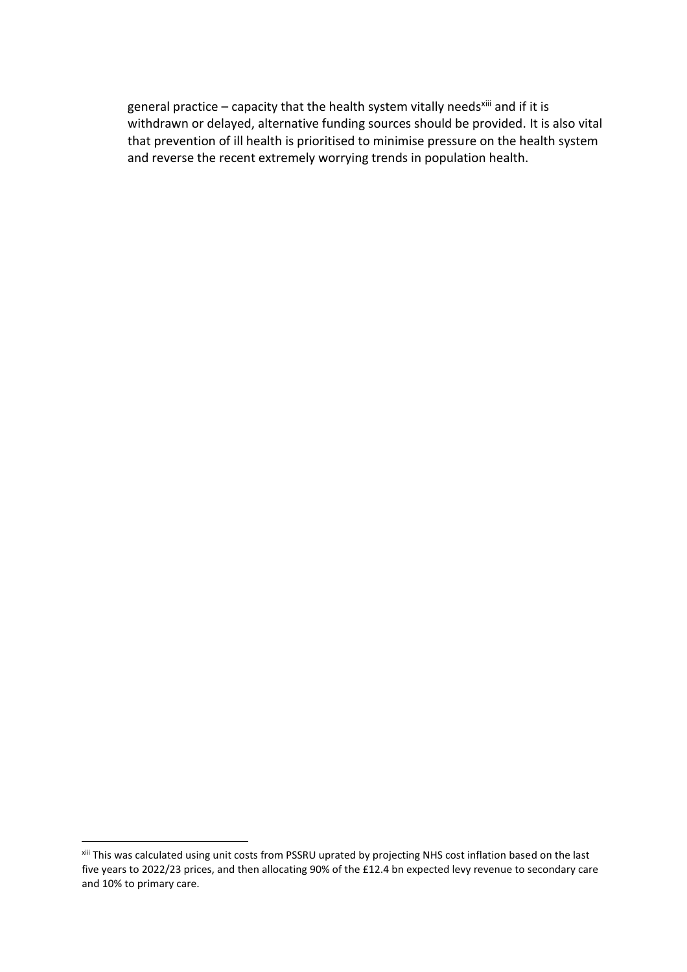general practice – capacity that the health system vitally needs<sup>xiii</sup> and if it is withdrawn or delayed, alternative funding sources should be provided. It is also vital that prevention of ill health is prioritised to minimise pressure on the health system and reverse the recent extremely worrying trends in population health.

<sup>&</sup>lt;sup>xiii</sup> This was calculated using unit costs from PSSRU uprated by projecting NHS cost inflation based on the last five years to 2022/23 prices, and then allocating 90% of the £12.4 bn expected levy revenue to secondary care and 10% to primary care.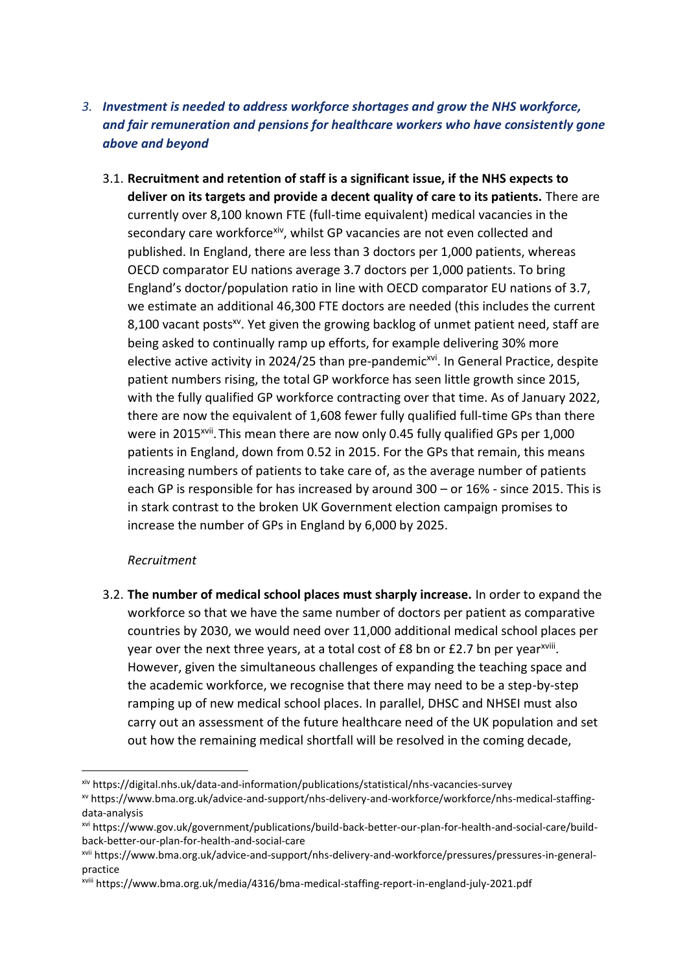## *3. Investment is needed to address workforce shortages and grow the NHS workforce, and fair remuneration and pensions for healthcare workers who have consistently gone above and beyond*

3.1. **Recruitment and retention of staff is a significant issue, if the NHS expects to deliver on its targets and provide a decent quality of care to its patients.** There are currently over 8,100 known FTE (full-time equivalent) medical vacancies in the secondary care workforcexiv, whilst GP vacancies are not even collected and published. In England, there are less than 3 doctors per 1,000 patients, whereas OECD comparator EU nations average 3.7 doctors per 1,000 patients. To bring England's doctor/population ratio in line with OECD comparator EU nations of 3.7, we estimate an additional 46,300 FTE doctors are needed (this includes the current 8,100 vacant posts<sup>xv</sup>. Yet given the growing backlog of unmet patient need, staff are being asked to continually ramp up efforts, for example delivering 30% more elective active activity in 2024/25 than pre-pandemic<sup>xvi</sup>. In General Practice, despite patient numbers rising, the total GP workforce has seen little growth since 2015, with the fully qualified GP workforce contracting over that time. As of January 2022, there are now the equivalent of 1,608 fewer fully qualified full-time GPs than there were in 2015<sup>xvii</sup>. This mean there are now only 0.45 fully qualified GPs per 1,000 patients in England, down from 0.52 in 2015. For the GPs that remain, this means increasing numbers of patients to take care of, as the average number of patients each GP is responsible for has increased by around 300 – or 16% - since 2015. This is in stark contrast to the broken UK Government election campaign promises to increase the number of GPs in England by 6,000 by 2025.

### *Recruitment*

3.2. **The number of medical school places must sharply increase.** In order to expand the workforce so that we have the same number of doctors per patient as comparative countries by 2030, we would need over 11,000 additional medical school places per year over the next three years, at a total cost of £8 bn or £2.7 bn per year<sup>xviii</sup>. However, given the simultaneous challenges of expanding the teaching space and the academic workforce, we recognise that there may need to be a step-by-step ramping up of new medical school places. In parallel, DHSC and NHSEI must also carry out an assessment of the future healthcare need of the UK population and set out how the remaining medical shortfall will be resolved in the coming decade,

xiv https://digital.nhs.uk/data-and-information/publications/statistical/nhs-vacancies-survey

xv https://www.bma.org.uk/advice-and-support/nhs-delivery-and-workforce/workforce/nhs-medical-staffingdata-analysis

xvi https://www.gov.uk/government/publications/build-back-better-our-plan-for-health-and-social-care/buildback-better-our-plan-for-health-and-social-care

xvii https://www.bma.org.uk/advice-and-support/nhs-delivery-and-workforce/pressures/pressures-in-generalpractice

xviii https://www.bma.org.uk/media/4316/bma-medical-staffing-report-in-england-july-2021.pdf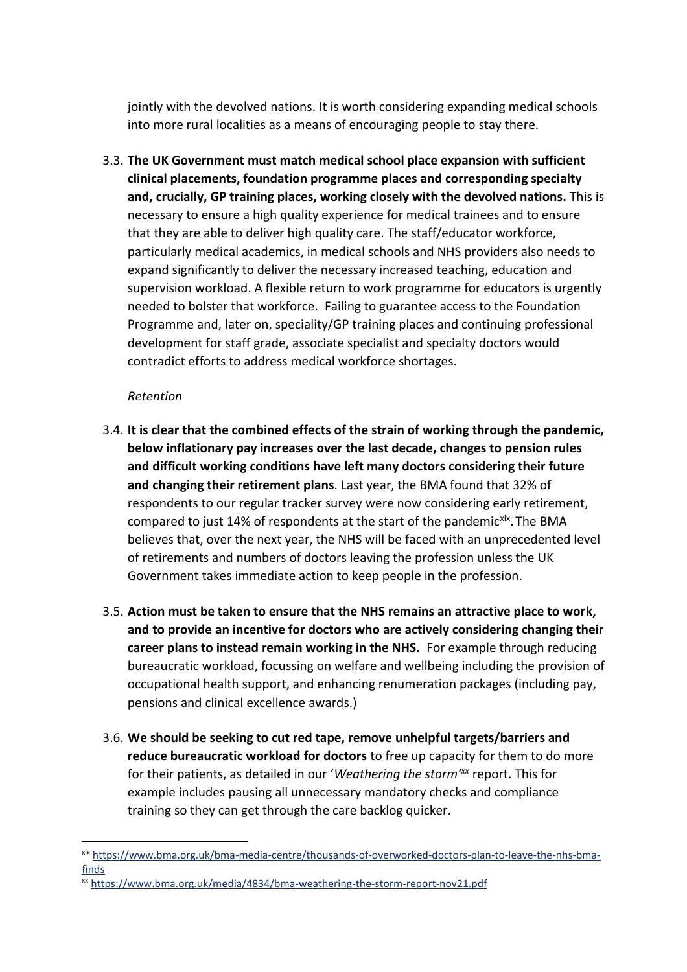jointly with the devolved nations. It is worth considering expanding medical schools into more rural localities as a means of encouraging people to stay there.

3.3. **The UK Government must match medical school place expansion with sufficient clinical placements, foundation programme places and corresponding specialty and, crucially, GP training places, working closely with the devolved nations.** This is necessary to ensure a high quality experience for medical trainees and to ensure that they are able to deliver high quality care. The staff/educator workforce, particularly medical academics, in medical schools and NHS providers also needs to expand significantly to deliver the necessary increased teaching, education and supervision workload. A flexible return to work programme for educators is urgently needed to bolster that workforce. Failing to guarantee access to the Foundation Programme and, later on, speciality/GP training places and continuing professional development for staff grade, associate specialist and specialty doctors would contradict efforts to address medical workforce shortages.

### *Retention*

- 3.4. **It is clear that the combined effects of the strain of working through the pandemic, below inflationary pay increases over the last decade, changes to pension rules and difficult working conditions have left many doctors considering their future and changing their retirement plans**. Last year, the BMA found that 32% of respondents to our regular tracker survey were now considering early retirement, compared to just 14% of respondents at the start of the pandemic<sup>xix</sup>. The BMA believes that, over the next year, the NHS will be faced with an unprecedented level of retirements and numbers of doctors leaving the profession unless the UK Government takes immediate action to keep people in the profession.
- 3.5. **Action must be taken to ensure that the NHS remains an attractive place to work, and to provide an incentive for doctors who are actively considering changing their career plans to instead remain working in the NHS.** For example through reducing bureaucratic workload, focussing on welfare and wellbeing including the provision of occupational health support, and enhancing renumeration packages (including pay, pensions and clinical excellence awards.)
- 3.6. **We should be seeking to cut red tape, remove unhelpful targets/barriers and reduce bureaucratic workload for doctors** to free up capacity for them to do more for their patients, as detailed in our 'Weathering the storm'<sup>xx</sup> report. This for example includes pausing all unnecessary mandatory checks and compliance training so they can get through the care backlog quicker.

xix [https://www.bma.org.uk/bma-media-centre/thousands-of-overworked-doctors-plan-to-leave-the-nhs-bma](https://www.bma.org.uk/bma-media-centre/thousands-of-overworked-doctors-plan-to-leave-the-nhs-bma-finds)[finds](https://www.bma.org.uk/bma-media-centre/thousands-of-overworked-doctors-plan-to-leave-the-nhs-bma-finds)

xx <https://www.bma.org.uk/media/4834/bma-weathering-the-storm-report-nov21.pdf>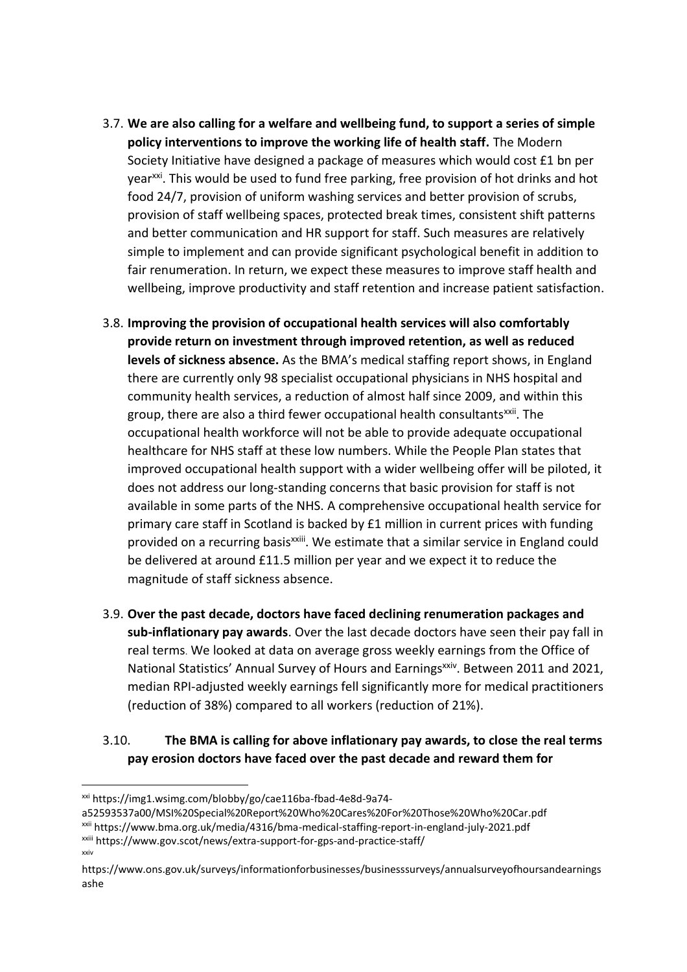- 3.7. **We are also calling for a welfare and wellbeing fund, to support a series of simple policy interventions to improve the working life of health staff.** The Modern Society Initiative have designed a package of measures which would cost £1 bn per year<sup>xxi</sup>. This would be used to fund free parking, free provision of hot drinks and hot food 24/7, provision of uniform washing services and better provision of scrubs, provision of staff wellbeing spaces, protected break times, consistent shift patterns and better communication and HR support for staff. Such measures are relatively simple to implement and can provide significant psychological benefit in addition to fair renumeration. In return, we expect these measures to improve staff health and wellbeing, improve productivity and staff retention and increase patient satisfaction.
- 3.8. **Improving the provision of occupational health services will also comfortably provide return on investment through improved retention, as well as reduced levels of sickness absence.** As the BMA's medical staffing report shows, in England there are currently only 98 specialist occupational physicians in NHS hospital and community health services, a reduction of almost half since 2009, and within this group, there are also a third fewer occupational health consultants<sup>xxii</sup>. The occupational health workforce will not be able to provide adequate occupational healthcare for NHS staff at these low numbers. While the People Plan states that improved occupational health support with a wider wellbeing offer will be piloted, it does not address our long-standing concerns that basic provision for staff is not available in some parts of the NHS. A comprehensive occupational health service for primary care staff in Scotland is backed by £1 million in current prices with funding provided on a recurring basis<sup>xxiii</sup>. We estimate that a similar service in England could be delivered at around £11.5 million per year and we expect it to reduce the magnitude of staff sickness absence.
- 3.9. **Over the past decade, doctors have faced declining renumeration packages and sub-inflationary pay awards**. Over the last decade doctors have seen their pay fall in real terms. We looked at data on average gross weekly earnings from the Office of National Statistics' Annual Survey of Hours and Earnings<sup>xxiv</sup>. Between 2011 and 2021, median RPI-adjusted weekly earnings fell significantly more for medical practitioners (reduction of 38%) compared to all workers (reduction of 21%).

### 3.10. **The BMA is calling for above inflationary pay awards, to close the real terms pay erosion doctors have faced over the past decade and reward them for**

xxi https://img1.wsimg.com/blobby/go/cae116ba-fbad-4e8d-9a74-

a52593537a00/MSI%20Special%20Report%20Who%20Cares%20For%20Those%20Who%20Car.pdf

xxii https://www.bma.org.uk/media/4316/bma-medical-staffing-report-in-england-july-2021.pdf

xxiii https://www.gov.scot/news/extra-support-for-gps-and-practice-staff/ xxiv

https://www.ons.gov.uk/surveys/informationforbusinesses/businesssurveys/annualsurveyofhoursandearnings ashe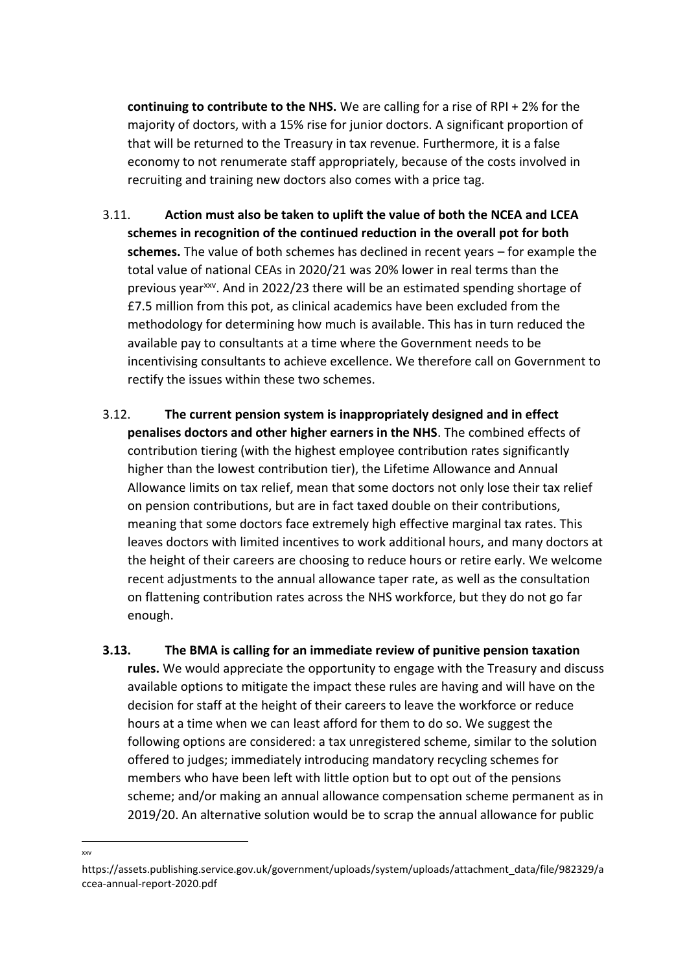**continuing to contribute to the NHS.** We are calling for a rise of RPI + 2% for the majority of doctors, with a 15% rise for junior doctors. A significant proportion of that will be returned to the Treasury in tax revenue. Furthermore, it is a false economy to not renumerate staff appropriately, because of the costs involved in recruiting and training new doctors also comes with a price tag.

- 3.11. **Action must also be taken to uplift the value of both the NCEA and LCEA schemes in recognition of the continued reduction in the overall pot for both schemes.** The value of both schemes has declined in recent years – for example the total value of national CEAs in 2020/21 was 20% lower in real terms than the previous yearxxv. And in 2022/23 there will be an estimated spending shortage of £7.5 million from this pot, as clinical academics have been excluded from the methodology for determining how much is available. This has in turn reduced the available pay to consultants at a time where the Government needs to be incentivising consultants to achieve excellence. We therefore call on Government to rectify the issues within these two schemes.
- 3.12. **The current pension system is inappropriately designed and in effect penalises doctors and other higher earners in the NHS**. The combined effects of contribution tiering (with the highest employee contribution rates significantly higher than the lowest contribution tier), the Lifetime Allowance and Annual Allowance limits on tax relief, mean that some doctors not only lose their tax relief on pension contributions, but are in fact taxed double on their contributions, meaning that some doctors face extremely high effective marginal tax rates. This leaves doctors with limited incentives to work additional hours, and many doctors at the height of their careers are choosing to reduce hours or retire early. We welcome recent adjustments to the annual allowance taper rate, as well as the consultation on flattening contribution rates across the NHS workforce, but they do not go far enough.
- **3.13. The BMA is calling for an immediate review of punitive pension taxation rules.** We would appreciate the opportunity to engage with the Treasury and discuss available options to mitigate the impact these rules are having and will have on the decision for staff at the height of their careers to leave the workforce or reduce hours at a time when we can least afford for them to do so. We suggest the following options are considered: a tax unregistered scheme, similar to the solution offered to judges; immediately introducing mandatory recycling schemes for members who have been left with little option but to opt out of the pensions scheme; and/or making an annual allowance compensation scheme permanent as in 2019/20. An alternative solution would be to scrap the annual allowance for public

xxv

https://assets.publishing.service.gov.uk/government/uploads/system/uploads/attachment\_data/file/982329/a ccea-annual-report-2020.pdf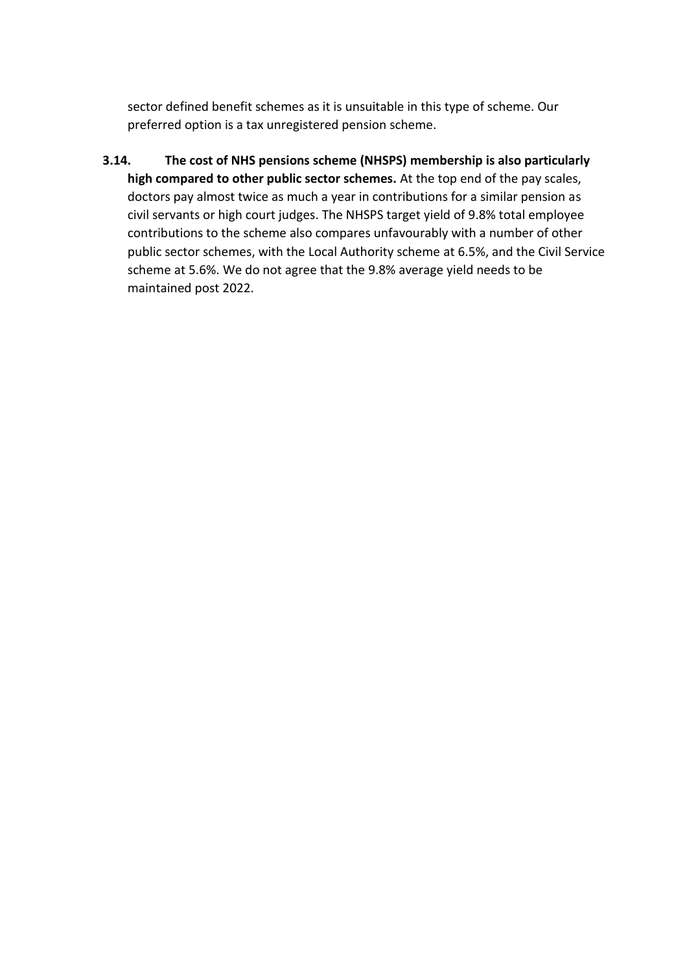sector defined benefit schemes as it is unsuitable in this type of scheme. Our preferred option is a tax unregistered pension scheme.

**3.14. The cost of NHS pensions scheme (NHSPS) membership is also particularly high compared to other public sector schemes.** At the top end of the pay scales, doctors pay almost twice as much a year in contributions for a similar pension as civil servants or high court judges. The NHSPS target yield of 9.8% total employee contributions to the scheme also compares unfavourably with a number of other public sector schemes, with the Local Authority scheme at 6.5%, and the Civil Service scheme at 5.6%. We do not agree that the 9.8% average yield needs to be maintained post 2022.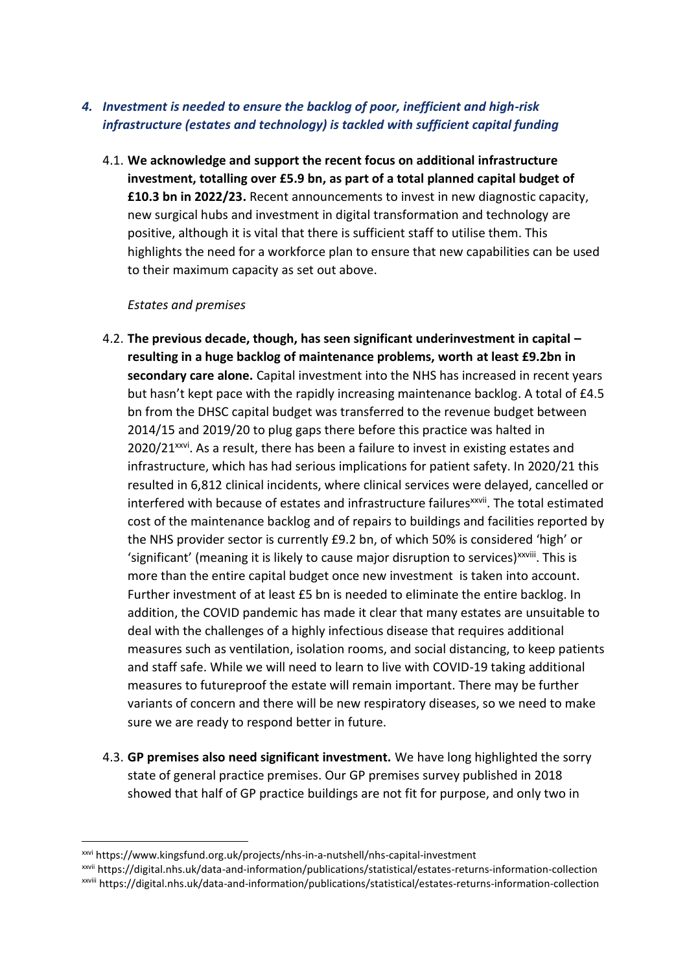### *4. Investment is needed to ensure the backlog of poor, inefficient and high-risk infrastructure (estates and technology) is tackled with sufficient capital funding*

4.1. **We acknowledge and support the recent focus on additional infrastructure investment, totalling over £5.9 bn, as part of a total planned capital budget of £10.3 bn in 2022/23.** Recent announcements to invest in new diagnostic capacity, new surgical hubs and investment in digital transformation and technology are positive, although it is vital that there is sufficient staff to utilise them. This highlights the need for a workforce plan to ensure that new capabilities can be used to their maximum capacity as set out above.

### *Estates and premises*

- 4.2. **The previous decade, though, has seen significant underinvestment in capital – resulting in a huge backlog of maintenance problems, worth at least £9.2bn in secondary care alone.** Capital investment into the NHS has increased in recent years but hasn't kept pace with the rapidly increasing maintenance backlog. A total of £4.5 bn from the DHSC capital budget was transferred to the revenue budget between 2014/15 and 2019/20 to plug gaps there before this practice was halted in 2020/21<sup>xxvi</sup>. As a result, there has been a failure to invest in existing estates and infrastructure, which has had serious implications for patient safety. In 2020/21 this resulted in 6,812 clinical incidents, where clinical services were delayed, cancelled or interfered with because of estates and infrastructure failures<sup>xxvii</sup>. The total estimated cost of the maintenance backlog and of repairs to buildings and facilities reported by the NHS provider sector is currently £9.2 bn, of which 50% is considered 'high' or 'significant' (meaning it is likely to cause major disruption to services)<sup>xxviii</sup>. This is more than the entire capital budget once new investment is taken into account. Further investment of at least £5 bn is needed to eliminate the entire backlog. In addition, the COVID pandemic has made it clear that many estates are unsuitable to deal with the challenges of a highly infectious disease that requires additional measures such as ventilation, isolation rooms, and social distancing, to keep patients and staff safe. While we will need to learn to live with COVID-19 taking additional measures to futureproof the estate will remain important. There may be further variants of concern and there will be new respiratory diseases, so we need to make sure we are ready to respond better in future.
- 4.3. **GP premises also need significant investment.** We have long highlighted the sorry state of general practice premises. Our GP premises survey published in 2018 showed that half of GP practice buildings are not fit for purpose, and only two in

xxvi https://www.kingsfund.org.uk/projects/nhs-in-a-nutshell/nhs-capital-investment

xxvii https://digital.nhs.uk/data-and-information/publications/statistical/estates-returns-information-collection xxviii https://digital.nhs.uk/data-and-information/publications/statistical/estates-returns-information-collection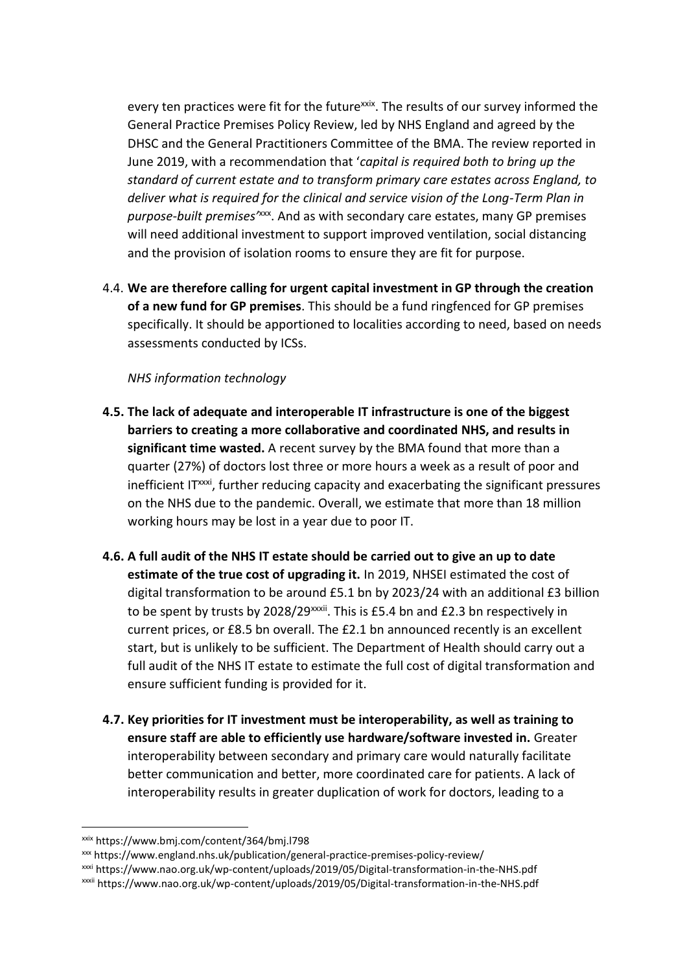every ten practices were fit for the future<sup>xxix</sup>. The results of our survey informed the General Practice Premises Policy Review, led by NHS England and agreed by the DHSC and the General Practitioners Committee of the BMA. The review reported in June 2019, with a recommendation that '*capital is required both to bring up the standard of current estate and to transform primary care estates across England, to deliver what is required for the clinical and service vision of the Long-Term Plan in purpose-built premises'*xxx . And as with secondary care estates, many GP premises will need additional investment to support improved ventilation, social distancing and the provision of isolation rooms to ensure they are fit for purpose.

4.4. **We are therefore calling for urgent capital investment in GP through the creation of a new fund for GP premises**. This should be a fund ringfenced for GP premises specifically. It should be apportioned to localities according to need, based on needs assessments conducted by ICSs.

*NHS information technology*

- **4.5. The lack of adequate and interoperable IT infrastructure is one of the biggest barriers to creating a more collaborative and coordinated NHS, and results in significant time wasted.** A recent survey by the BMA found that more than a quarter (27%) of doctors lost three or more hours a week as a result of poor and inefficient IT<sup>xxxi</sup>, further reducing capacity and exacerbating the significant pressures on the NHS due to the pandemic. Overall, we estimate that more than 18 million working hours may be lost in a year due to poor IT.
- **4.6. A full audit of the NHS IT estate should be carried out to give an up to date estimate of the true cost of upgrading it.** In 2019, NHSEI estimated the cost of digital transformation to be around £5.1 bn by 2023/24 with an additional £3 billion to be spent by trusts by 2028/29 $xxi$ i. This is £5.4 bn and £2.3 bn respectively in current prices, or £8.5 bn overall. The £2.1 bn announced recently is an excellent start, but is unlikely to be sufficient. The Department of Health should carry out a full audit of the NHS IT estate to estimate the full cost of digital transformation and ensure sufficient funding is provided for it.
- **4.7. Key priorities for IT investment must be interoperability, as well as training to ensure staff are able to efficiently use hardware/software invested in.** Greater interoperability between secondary and primary care would naturally facilitate better communication and better, more coordinated care for patients. A lack of interoperability results in greater duplication of work for doctors, leading to a

xxix https://www.bmj.com/content/364/bmj.l798

xxx https://www.england.nhs.uk/publication/general-practice-premises-policy-review/

xxxi https://www.nao.org.uk/wp-content/uploads/2019/05/Digital-transformation-in-the-NHS.pdf

xxxii https://www.nao.org.uk/wp-content/uploads/2019/05/Digital-transformation-in-the-NHS.pdf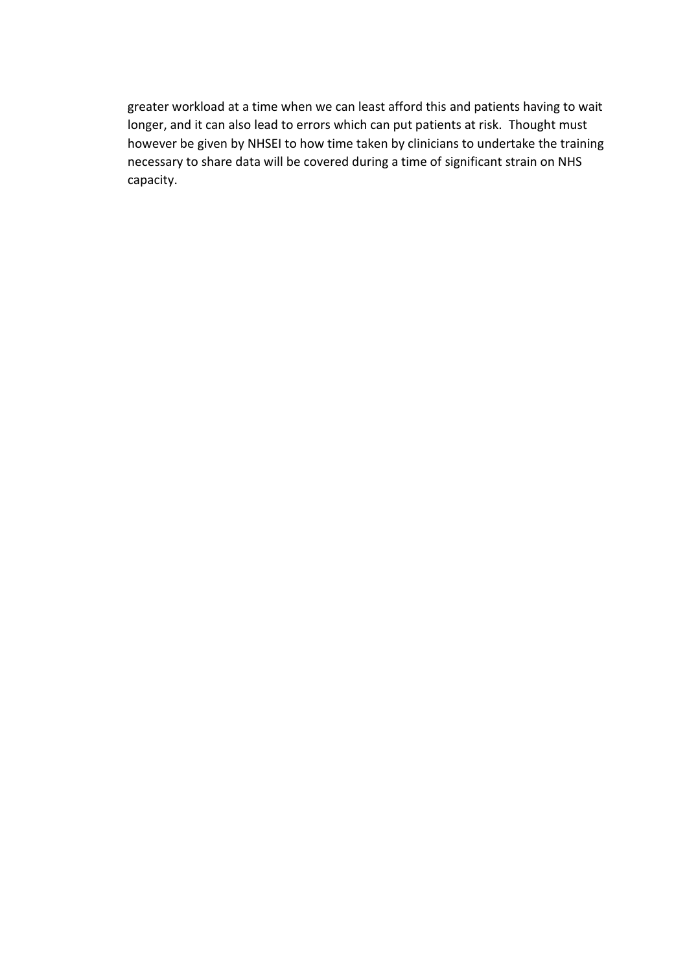greater workload at a time when we can least afford this and patients having to wait longer, and it can also lead to errors which can put patients at risk. Thought must however be given by NHSEI to how time taken by clinicians to undertake the training necessary to share data will be covered during a time of significant strain on NHS capacity.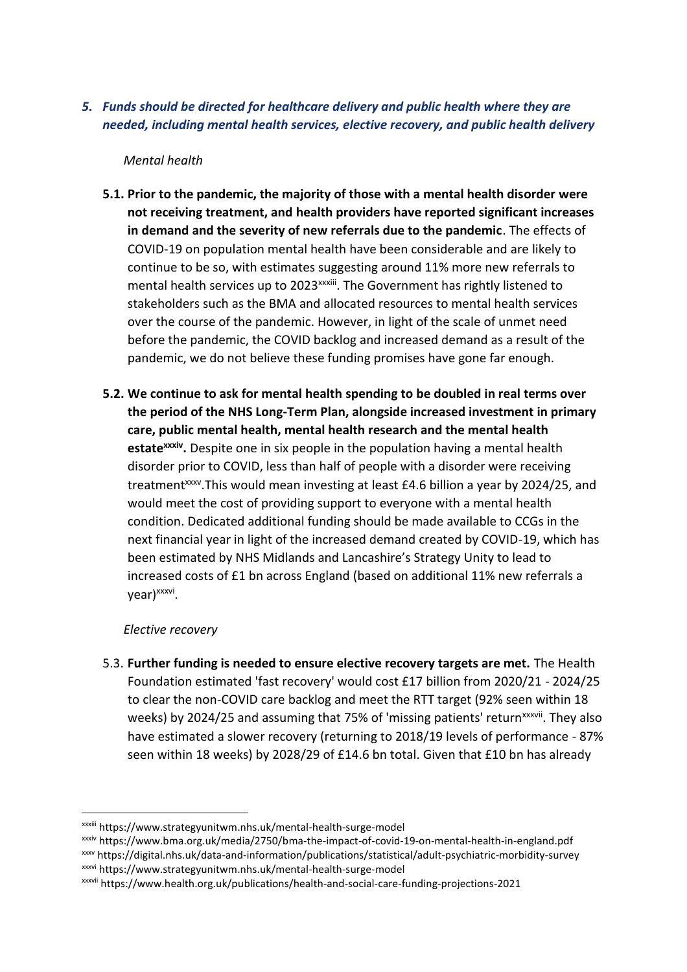*5. Funds should be directed for healthcare delivery and public health where they are needed, including mental health services, elective recovery, and public health delivery* 

*Mental health*

- **5.1. Prior to the pandemic, the majority of those with a mental health disorder were not receiving treatment, and health providers have reported significant increases in demand and the severity of new referrals due to the pandemic**. The effects of COVID-19 on population mental health have been considerable and are likely to continue to be so, with estimates suggesting around 11% more new referrals to mental health services up to 2023<sup>xxxiii</sup>. The Government has rightly listened to stakeholders such as the BMA and allocated resources to mental health services over the course of the pandemic. However, in light of the scale of unmet need before the pandemic, the COVID backlog and increased demand as a result of the pandemic, we do not believe these funding promises have gone far enough.
- **5.2. We continue to ask for mental health spending to be doubled in real terms over the period of the NHS Long-Term Plan, alongside increased investment in primary care, public mental health, mental health research and the mental health estatexxxiv .** Despite one in six people in the population having a mental health disorder prior to COVID, less than half of people with a disorder were receiving treatment<sup>xxxv</sup>. This would mean investing at least £4.6 billion a year by 2024/25, and would meet the cost of providing support to everyone with a mental health condition. Dedicated additional funding should be made available to CCGs in the next financial year in light of the increased demand created by COVID-19, which has been estimated by NHS Midlands and Lancashire's Strategy Unity to lead to increased costs of £1 bn across England (based on additional 11% new referrals a year)<sup>xxxvi</sup>.

### *Elective recovery*

5.3. **Further funding is needed to ensure elective recovery targets are met.** The Health Foundation estimated 'fast recovery' would cost £17 billion from 2020/21 - 2024/25 to clear the non-COVID care backlog and meet the RTT target (92% seen within 18 weeks) by 2024/25 and assuming that 75% of 'missing patients' return<sup>xxxvii</sup>. They also have estimated a slower recovery (returning to 2018/19 levels of performance - 87% seen within 18 weeks) by 2028/29 of £14.6 bn total. Given that £10 bn has already

xxxiv https://www.bma.org.uk/media/2750/bma-the-impact-of-covid-19-on-mental-health-in-england.pdf xxxv https://digital.nhs.uk/data-and-information/publications/statistical/adult-psychiatric-morbidity-survey

xxxiii https://www.strategyunitwm.nhs.uk/mental-health-surge-model

xxxvi https://www.strategyunitwm.nhs.uk/mental-health-surge-model

xxxvii https://www.health.org.uk/publications/health-and-social-care-funding-projections-2021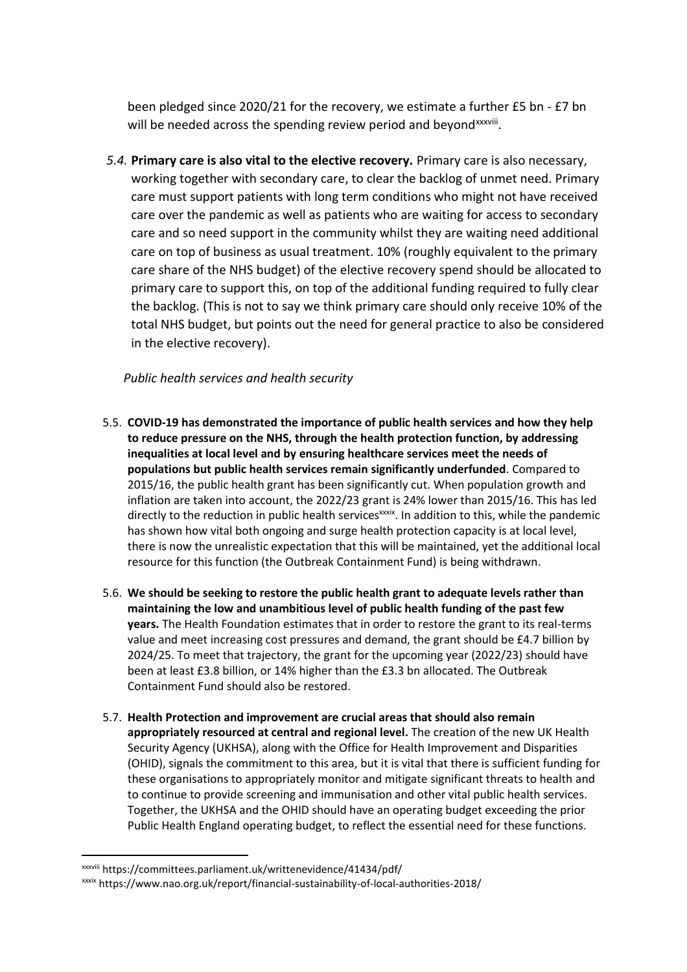been pledged since 2020/21 for the recovery, we estimate a further £5 bn - £7 bn will be needed across the spending review period and beyond<sup>xxxviii</sup>.

*5.4.* **Primary care is also vital to the elective recovery.** Primary care is also necessary, working together with secondary care, to clear the backlog of unmet need. Primary care must support patients with long term conditions who might not have received care over the pandemic as well as patients who are waiting for access to secondary care and so need support in the community whilst they are waiting need additional care on top of business as usual treatment. 10% (roughly equivalent to the primary care share of the NHS budget) of the elective recovery spend should be allocated to primary care to support this, on top of the additional funding required to fully clear the backlog. (This is not to say we think primary care should only receive 10% of the total NHS budget, but points out the need for general practice to also be considered in the elective recovery).

### *Public health services and health security*

- 5.5. **COVID-19 has demonstrated the importance of public health services and how they help to reduce pressure on the NHS, through the health protection function, by addressing inequalities at local level and by ensuring healthcare services meet the needs of populations but public health services remain significantly underfunded**. Compared to 2015/16, the public health grant has been significantly cut. When population growth and inflation are taken into account, the 2022/23 grant is 24% lower than 2015/16. This has led directly to the reduction in public health services<sup>xxxix</sup>. In addition to this, while the pandemic has shown how vital both ongoing and surge health protection capacity is at local level, there is now the unrealistic expectation that this will be maintained, yet the additional local resource for this function (the Outbreak Containment Fund) is being withdrawn.
- 5.6. **We should be seeking to restore the public health grant to adequate levels rather than maintaining the low and unambitious level of public health funding of the past few years.** The Health Foundation estimates that in order to restore the grant to its real-terms value and meet increasing cost pressures and demand, the grant should be £4.7 billion by 2024/25. To meet that trajectory, the grant for the upcoming year (2022/23) should have been at least £3.8 billion, or 14% higher than the £3.3 bn allocated. The Outbreak Containment Fund should also be restored.
- 5.7. **Health Protection and improvement are crucial areas that should also remain appropriately resourced at central and regional level.** The creation of the new UK Health Security Agency (UKHSA), along with the Office for Health Improvement and Disparities (OHID), signals the commitment to this area, but it is vital that there is sufficient funding for these organisations to appropriately monitor and mitigate significant threats to health and to continue to provide screening and immunisation and other vital public health services. Together, the UKHSA and the OHID should have an operating budget exceeding the prior Public Health England operating budget, to reflect the essential need for these functions.

xxxviii https://committees.parliament.uk/writtenevidence/41434/pdf/

xxxix https://www.nao.org.uk/report/financial-sustainability-of-local-authorities-2018/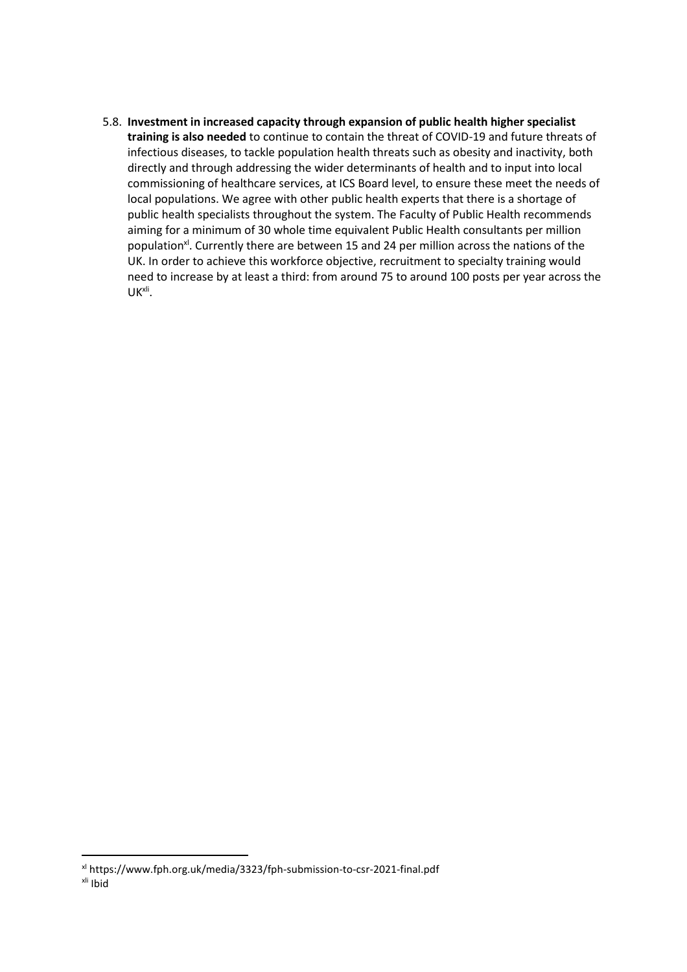5.8. **Investment in increased capacity through expansion of public health higher specialist training is also needed** to continue to contain the threat of COVID-19 and future threats of infectious diseases, to tackle population health threats such as obesity and inactivity, both directly and through addressing the wider determinants of health and to input into local commissioning of healthcare services, at ICS Board level, to ensure these meet the needs of local populations. We agree with other public health experts that there is a shortage of public health specialists throughout the system. The Faculty of Public Health recommends aiming for a minimum of 30 whole time equivalent Public Health consultants per million population<sup>x</sup>. Currently there are between 15 and 24 per million across the nations of the UK. In order to achieve this workforce objective, recruitment to specialty training would need to increase by at least a third: from around 75 to around 100 posts per year across the UKxli .

xl https://www.fph.org.uk/media/3323/fph-submission-to-csr-2021-final.pdf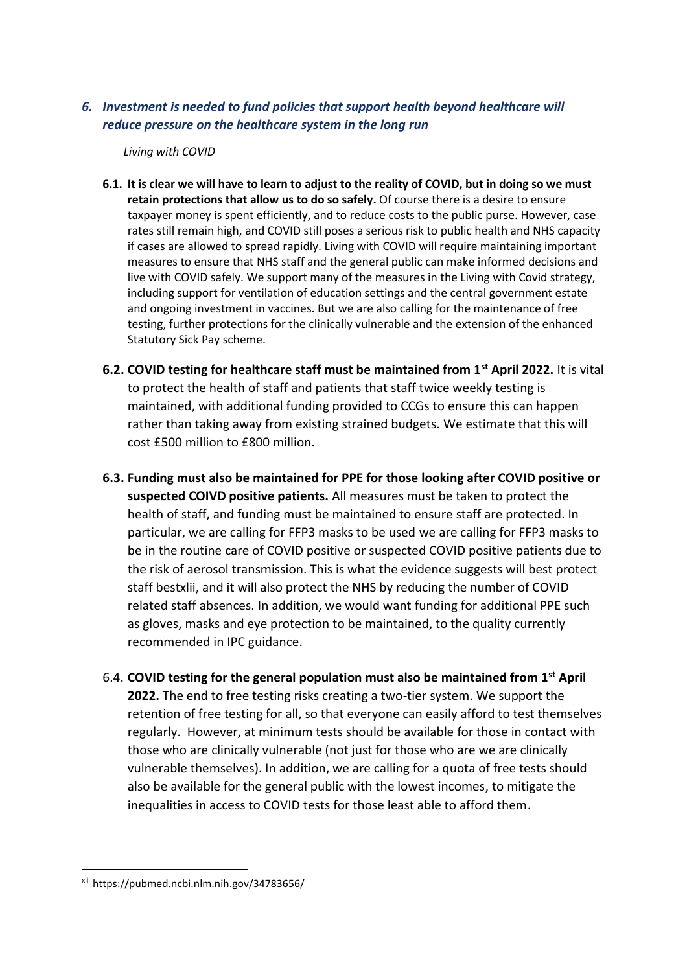### *6. Investment is needed to fund policies that support health beyond healthcare will reduce pressure on the healthcare system in the long run*

*Living with COVID*

- **6.1. It is clear we will have to learn to adjust to the reality of COVID, but in doing so we must retain protections that allow us to do so safely.** Of course there is a desire to ensure taxpayer money is spent efficiently, and to reduce costs to the public purse. However, case rates still remain high, and COVID still poses a serious risk to public health and NHS capacity if cases are allowed to spread rapidly. Living with COVID will require maintaining important measures to ensure that NHS staff and the general public can make informed decisions and live with COVID safely. We support many of the measures in the Living with Covid strategy, including support for ventilation of education settings and the central government estate and ongoing investment in vaccines. But we are also calling for the maintenance of free testing, further protections for the clinically vulnerable and the extension of the enhanced Statutory Sick Pay scheme.
- **6.2. COVID testing for healthcare staff must be maintained from 1st April 2022.** It is vital to protect the health of staff and patients that staff twice weekly testing is maintained, with additional funding provided to CCGs to ensure this can happen rather than taking away from existing strained budgets. We estimate that this will cost £500 million to £800 million.
- **6.3. Funding must also be maintained for PPE for those looking after COVID positive or suspected COIVD positive patients.** All measures must be taken to protect the health of staff, and funding must be maintained to ensure staff are protected. In particular, we are calling for FFP3 masks to be used we are calling for FFP3 masks to be in the routine care of COVID positive or suspected COVID positive patients due to the risk of aerosol transmission. This is what the evidence suggests will best protect staff bestxlii, and it will also protect the NHS by reducing the number of COVID related staff absences. In addition, we would want funding for additional PPE such as gloves, masks and eye protection to be maintained, to the quality currently recommended in IPC guidance.
- 6.4. **COVID testing for the general population must also be maintained from 1st April 2022.** The end to free testing risks creating a two-tier system. We support the retention of free testing for all, so that everyone can easily afford to test themselves regularly. However, at minimum tests should be available for those in contact with those who are clinically vulnerable (not just for those who are we are clinically vulnerable themselves). In addition, we are calling for a quota of free tests should also be available for the general public with the lowest incomes, to mitigate the inequalities in access to COVID tests for those least able to afford them.

xlii https://pubmed.ncbi.nlm.nih.gov/34783656/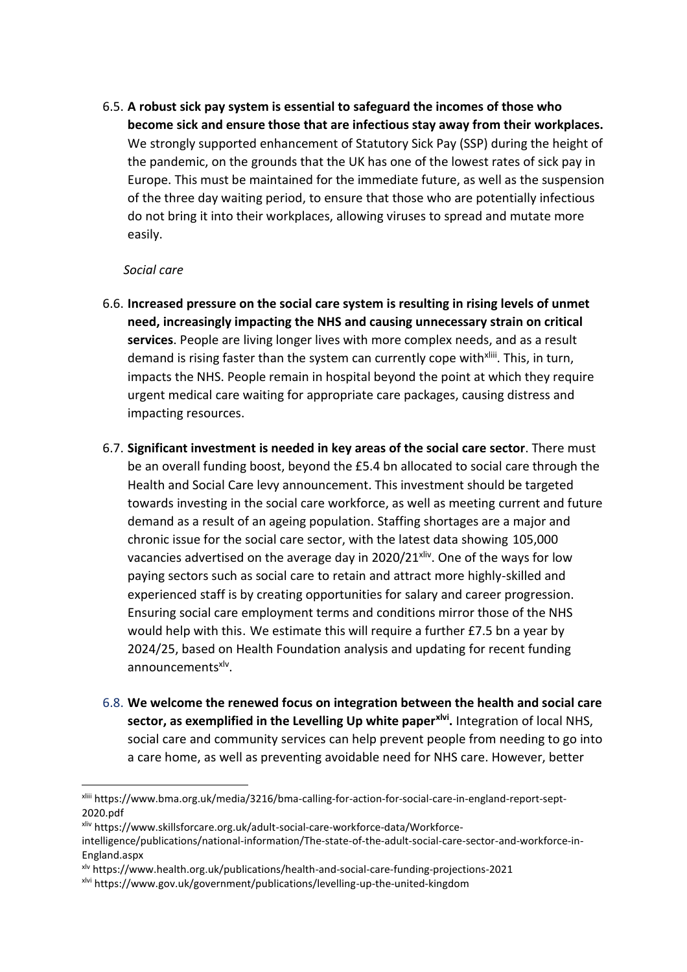6.5. **A robust sick pay system is essential to safeguard the incomes of those who become sick and ensure those that are infectious stay away from their workplaces.** We strongly supported enhancement of Statutory Sick Pay (SSP) during the height of the pandemic, on the grounds that the UK has one of the lowest rates of sick pay in Europe. This must be maintained for the immediate future, as well as the suspension of the three day waiting period, to ensure that those who are potentially infectious do not bring it into their workplaces, allowing viruses to spread and mutate more easily.

### *Social care*

- 6.6. **Increased pressure on the social care system is resulting in rising levels of unmet need, increasingly impacting the NHS and causing unnecessary strain on critical services**. People are living longer lives with more complex needs, and as a result demand is rising faster than the system can currently cope with<sup>xliii</sup>. This, in turn, impacts the NHS. People remain in hospital beyond the point at which they require urgent medical care waiting for appropriate care packages, causing distress and impacting resources.
- 6.7. **Significant investment is needed in key areas of the social care sector**. There must be an overall funding boost, beyond the £5.4 bn allocated to social care through the Health and Social Care levy announcement. This investment should be targeted towards investing in the social care workforce, as well as meeting current and future demand as a result of an ageing population. Staffing shortages are a major and chronic issue for the social care sector, with the latest data showing 105,000 vacancies advertised on the average day in 2020/21<sup>xliv</sup>. One of the ways for low paying sectors such as social care to retain and attract more highly-skilled and experienced staff is by creating opportunities for salary and career progression. Ensuring social care employment terms and conditions mirror those of the NHS would help with this. We estimate this will require a further £7.5 bn a year by 2024/25, based on Health Foundation analysis and updating for recent funding announcements<sup>xlv</sup>.
- 6.8. **We welcome the renewed focus on integration between the health and social care sector, as exemplified in the Levelling Up white paperxlvi .** Integration of local NHS, social care and community services can help prevent people from needing to go into a care home, as well as preventing avoidable need for NHS care. However, better

xliv https://www.skillsforcare.org.uk/adult-social-care-workforce-data/Workforce-

xliii https://www.bma.org.uk/media/3216/bma-calling-for-action-for-social-care-in-england-report-sept-2020.pdf

intelligence/publications/national-information/The-state-of-the-adult-social-care-sector-and-workforce-in-England.aspx

xlv https://www.health.org.uk/publications/health-and-social-care-funding-projections-2021

xlvi https://www.gov.uk/government/publications/levelling-up-the-united-kingdom